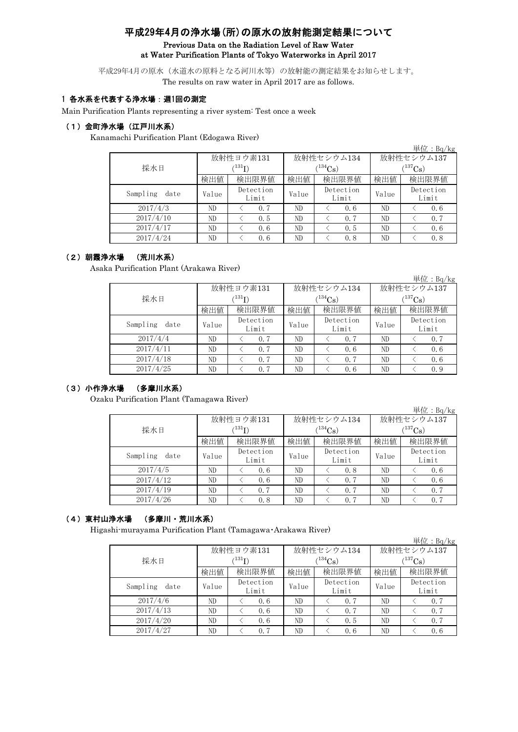# 平成29年4月の浄水場(所)の原水の放射能測定結果について Previous Data on the Radiation Level of Raw Water at Water Purification Plants of Tokyo Waterworks in April 2017

平成29年4月の原水(水道水の原料となる河川水等)の放射能の測定結果をお知らせします。 The results on raw water in April 2017 are as follows.

### 1 各水系を代表する浄水場:週1回の測定

Main Purification Plants representing a river system: Test once a week

#### (1)金町浄水場(江戸川水系)

Kanamachi Purification Plant (Edogawa River)

|                  |       |                            |              |                    |            | 単位:Bq/kg           |  |  |
|------------------|-------|----------------------------|--------------|--------------------|------------|--------------------|--|--|
|                  |       | 放射性ヨウ素131                  |              | 放射性セシウム134         | 放射性セシウム137 |                    |  |  |
| 採水日              |       | $^{\prime131} \mathrm{I})$ | $(134)$ Cs   |                    |            | $(^{137}Cs)$       |  |  |
|                  | 検出値   | 検出限界値                      | 検出限界値<br>検出値 |                    | 検出値        | 検出限界値              |  |  |
| Sampling<br>date | Value | Detection<br>Limit         | Value        | Detection<br>Limit | Value      | Detection<br>Limit |  |  |
| 2017/4/3         | ND    | 0.7                        | ND           | 0.6                | ND         | 0, 6               |  |  |
| 2017/4/10        | ND    | 0.5                        | ND           | 0.7                | ND         | 0.7                |  |  |
| 2017/4/17        | ND    | 0.6                        | ND           | 0.5                | ND         | 0.6                |  |  |
| 2017/4/24        | ND    | 0, 6                       | ND           | 0.8                | ND         | 0.8                |  |  |

#### (2)朝霞浄水場 (荒川水系)

Asaka Purification Plant (Arakawa River)

|                  |       |                             |       |                    |                       | 単位:Bq/kg           |  |  |
|------------------|-------|-----------------------------|-------|--------------------|-----------------------|--------------------|--|--|
|                  |       | 放射性ヨウ素131                   |       | 放射性セシウム134         | 放射性セシウム137            |                    |  |  |
| 採水日              |       | $^{\prime 131} \mathrm{I})$ |       | $134C_8$ )         | $(^{137}\mathrm{Cs})$ |                    |  |  |
|                  | 検出値   | 検出限界値                       | 検出値   | 検出限界値              | 検出値                   | 検出限界値              |  |  |
| Sampling<br>date | Value | Detection<br>Limit          | Value | Detection<br>Limit | Value                 | Detection<br>Limit |  |  |
| 2017/4/4         | ND    | 0.7                         | ND    | 0.7                | ND                    | 0.7                |  |  |
| 2017/4/11        | ND    | 0.7                         | ND    | 0.6                | ND                    | 0.6                |  |  |
| 2017/4/18        | ND    | 0.7                         | ND    | 0.7                | ND                    | 0, 6               |  |  |
| 2017/4/25        | ND    | 0.7                         | ND    | 0.6                | ND                    | 0.9                |  |  |

### (3)小作浄水場 (多摩川水系)

Ozaku Purification Plant (Tamagawa River)

|                  |       |                           |              |                    |                       | 単位: $Bq/kg$        |  |
|------------------|-------|---------------------------|--------------|--------------------|-----------------------|--------------------|--|
|                  |       | 放射性ヨウ素131                 |              | 放射性セシウム134         | 放射性セシウム137            |                    |  |
| 採水日              |       | $^{\prime131}\mathrm{I})$ |              | $(134)$ Cs)        | $(^{137}\mathrm{Cs})$ |                    |  |
|                  | 検出値   | 検出限界値                     | 検出限界値<br>検出値 |                    | 検出値                   | 検出限界値              |  |
| Sampling<br>date | Value | Detection<br>Limit        | Value        | Detection<br>Limit | Value                 | Detection<br>Limit |  |
| 2017/4/5         | ND    | 0.6                       | ND           | 0.8                | ND                    | 0.6                |  |
| 2017/4/12        | ND    | 0.6                       | ND           | 0.7                | ND                    | 0.6                |  |
| 2017/4/19        | ND    | 0.7                       | ND           | 0.7                | ND                    | 0.7                |  |
| 2017/4/26        | ND    | 0.8                       | ND           | 0.7                | ND                    | 0.7                |  |

# (4)東村山浄水場 (多摩川・荒川水系)

Higashi-murayama Purification Plant (Tamagawa・Arakawa River)

|                  |       |                      |       |                    |              | 単位: Bq/kg          |  |
|------------------|-------|----------------------|-------|--------------------|--------------|--------------------|--|
|                  |       | 放射性ヨウ素131            |       | 放射性セシウム134         | 放射性セシウム137   |                    |  |
| 採水日              |       | $(^{131}\mathrm{I})$ |       | $(134)$ Cs         | $(^{137}Cs)$ |                    |  |
|                  | 検出値   | 検出限界値                | 検出値   | 検出限界値              | 検出値          | 検出限界値              |  |
| Sampling<br>date | Value | Detection<br>Limit   | Value | Detection<br>Limit | Value        | Detection<br>Limit |  |
| 2017/4/6         | ND    | 0.6                  | ND    | 0.7                | ND           | 0.7                |  |
| 2017/4/13        | ND    | 0.6                  | ND    | 0.7                | ND           | 0.7                |  |
| 2017/4/20        | ND    | 0.6                  | ND    | 0.5                | ND           | 0.7                |  |
| 2017/4/27        | ND    | 0.7                  | ND    | 0.6                | ND           | 0.6                |  |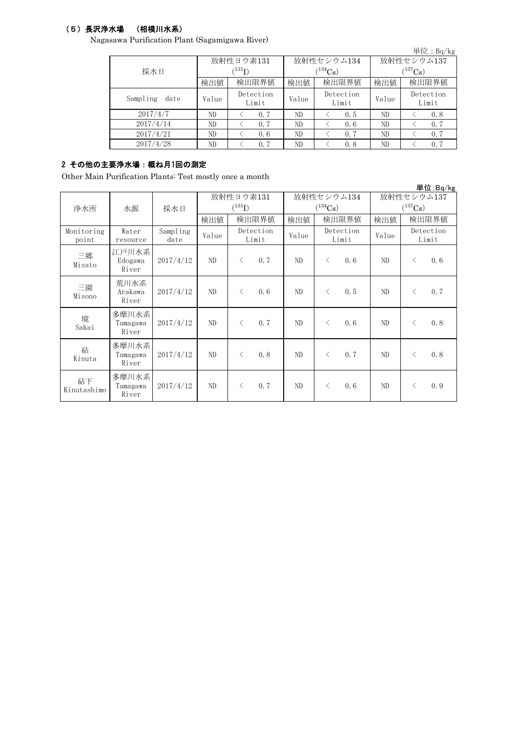# (5)長沢浄水場 (相模川水系)

Nagasawa Purification Plant (Sagamigawa River)

| $\omega$ and $\alpha$ is a contracted by $\omega$ . The contract of $\omega$ is a contracted by $\alpha$ |       |                    |       |                    |                       | 単位: $Bq/kg$        |  |  |
|----------------------------------------------------------------------------------------------------------|-------|--------------------|-------|--------------------|-----------------------|--------------------|--|--|
|                                                                                                          |       | 放射性ヨウ素131          |       | 放射性セシウム134         | 放射性セシウム137            |                    |  |  |
| 採水日                                                                                                      |       | $^{\prime131}$ I)  |       | $(134)$ Cs         | $(^{137}\mathrm{Cs})$ |                    |  |  |
|                                                                                                          | 検出値   | 検出限界値              | 検出値   | 検出限界値              | 検出値                   | 検出限界値              |  |  |
| Sampling<br>date                                                                                         | Value | Detection<br>Limit | Value | Detection<br>Limit | Value                 | Detection<br>Limit |  |  |
| 2017/4/7                                                                                                 | ND    | 0.7                | ND    | 0.5                | ND                    | 0.8                |  |  |
| 2017/4/14                                                                                                | ND    | 0.7                | ND    | 0.6                | ND                    | 0.7                |  |  |
| 2017/4/21                                                                                                | ND    | 0, 6               | ND    | 0.7                | ND                    | 0.7                |  |  |
| 2017/4/28                                                                                                | ND    | 0.7                | ND    | 0.8                | ND                    | 0.7                |  |  |

# 2 その他の主要浄水場:概ね月1回の測定

Other Main Purification Plants: Test mostly once a month

|                     |                            |                  |                                     |                    |       |                             |              |            |                                     |                    | 単位:Bq/kg |  |
|---------------------|----------------------------|------------------|-------------------------------------|--------------------|-------|-----------------------------|--------------|------------|-------------------------------------|--------------------|----------|--|
| 浄水所<br>採水日<br>水源    |                            |                  | 放射性ヨウ素131<br>$({}^{131}\mathrm{I})$ |                    |       |                             | $(^{134}Cs)$ | 放射性セシウム134 | 放射性セシウム137<br>$(^{137}\mathrm{Cs})$ |                    |          |  |
|                     |                            |                  | 検出値                                 |                    | 検出限界値 | 検出値<br>検出限界値                |              |            | 検出値                                 |                    | 検出限界値    |  |
| Monitoring<br>point | Water<br>resource          | Sampling<br>date | Value                               | Detection<br>Limit |       | Detection<br>Value<br>Limit |              |            | Value                               | Detection<br>Limit |          |  |
| 三郷<br>Misato        | 江戸川水系<br>Edogawa<br>River  | 2017/4/12        | ND                                  | $\langle$          | 0, 7  | ND                          | $\langle$    | 0.6        | ND                                  | $\lt$              | 0.6      |  |
| 三園<br>Misono        | 荒川水系<br>Arakawa<br>River   | 2017/4/12        | ND                                  | $\lt$              | 0.6   | ND                          | $\langle$    | 0.5        | ND                                  | $\langle$          | 0, 7     |  |
| 境<br>Sakai          | 多摩川水系<br>Tamagawa<br>River | 2017/4/12        | ND                                  | $\langle$          | 0, 7  | ND                          | $\langle$    | 0.6        | ND                                  | $\langle$          | 0.8      |  |
| 砧<br>Kinuta         | 多摩川水系<br>Tamagawa<br>River | 2017/4/12        | ND                                  | $\langle$          | 0.8   | ND                          | $\langle$    | 0.7        | ND                                  | $\langle$          | 0.8      |  |
| 砧下<br>Kinutashimo   | 多摩川水系<br>Tamagawa<br>River | 2017/4/12        | ND                                  | $\lt$              | 0.7   | ND                          | $\langle$    | 0.6        | ND                                  | $\langle$          | 0.9      |  |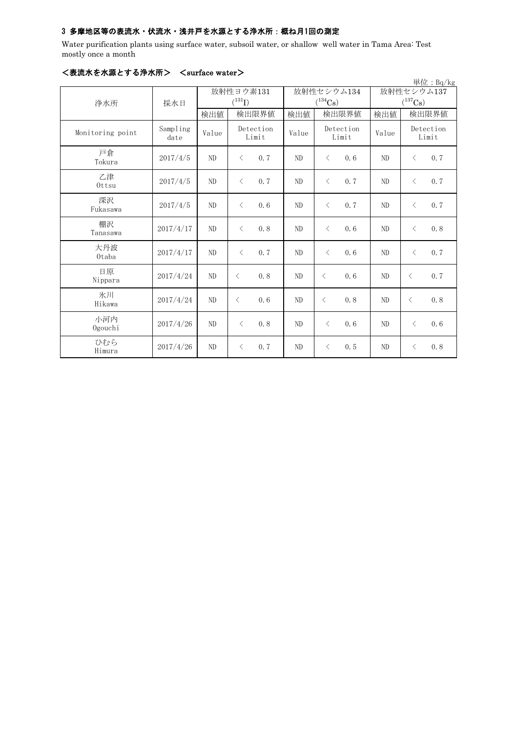## 3 多摩地区等の表流水・伏流水・浅井戸を水源とする浄水所:概ね月1回の測定

Water purification plants using surface water, subsoil water, or shallow well water in Tama Area: Test mostly once a month

| 単位: Bq/kg        |                  |       |                                                  |       |                       |                       |                    |  |  |  |
|------------------|------------------|-------|--------------------------------------------------|-------|-----------------------|-----------------------|--------------------|--|--|--|
|                  |                  |       | 放射性ヨウ素131                                        |       | 放射性セシウム134            | 放射性セシウム137            |                    |  |  |  |
| 浄水所              | 採水日              |       | $(^{131}I)$                                      |       | $(^{134}\mathrm{Cs})$ | $(^{137}\mathrm{Cs})$ |                    |  |  |  |
|                  |                  | 検出値   | 検出限界値                                            | 検出値   | 検出限界値                 | 検出値                   | 検出限界値              |  |  |  |
| Monitoring point | Sampling<br>date | Value | Detection<br>Limit                               | Value | Detection<br>Limit    | Value                 | Detection<br>Limit |  |  |  |
| 戸倉<br>Tokura     | 2017/4/5         | ND    | 0.7<br>$\langle$                                 | ND    | $\lt$<br>0.6          | ND                    | 0.7<br>$\lt$       |  |  |  |
| 乙津<br>Ottsu      | 2017/4/5         | ND    | $\overline{\left\langle \right\rangle }$<br>0, 7 | ND    | $\lt$<br>0.7          | ND                    | 0.7<br>$\langle$   |  |  |  |
| 深沢<br>Fukasawa   | 2017/4/5         | ND    | $\langle$<br>0.6                                 | ND    | 0.7<br>$\, < \,$      | ND                    | 0.7<br>$\langle$   |  |  |  |
| 棚沢<br>Tanasawa   | 2017/4/17        | ND    | $\langle$<br>0.8                                 | ND    | $\lt$<br>0.6          | ND                    | 0.8<br>$\lt$       |  |  |  |
| 大丹波<br>Otaba     | 2017/4/17        | ND    | $\langle$<br>0, 7                                | ND    | $\lt$<br>0, 6         | ND                    | 0.7<br>$\langle$   |  |  |  |
| 日原<br>Nippara    | 2017/4/24        | ND    | 0.8<br>$\langle$                                 | ND    | $\lt$<br>0, 6         | ND                    | 0.7<br>$\langle$   |  |  |  |
| 氷川<br>Hikawa     | 2017/4/24        | ND    | 0.6<br>$\langle$                                 | ND    | $\langle$<br>0.8      | N <sub>D</sub>        | 0.8<br>$\langle$   |  |  |  |
| 小河内<br>Ogouchi   | 2017/4/26        | ND    | $\langle$<br>0.8                                 | ND    | $\lt$<br>0.6          | ND                    | 0.6<br>$\langle$   |  |  |  |
| ひむら<br>Himura    | 2017/4/26        | ND    | 0.7<br>$\langle$                                 | ND    | 0.5<br>$\lt$          | ND                    | 0.8<br>$\lt$       |  |  |  |

## <表流水を水源とする浄水所> <surface water>